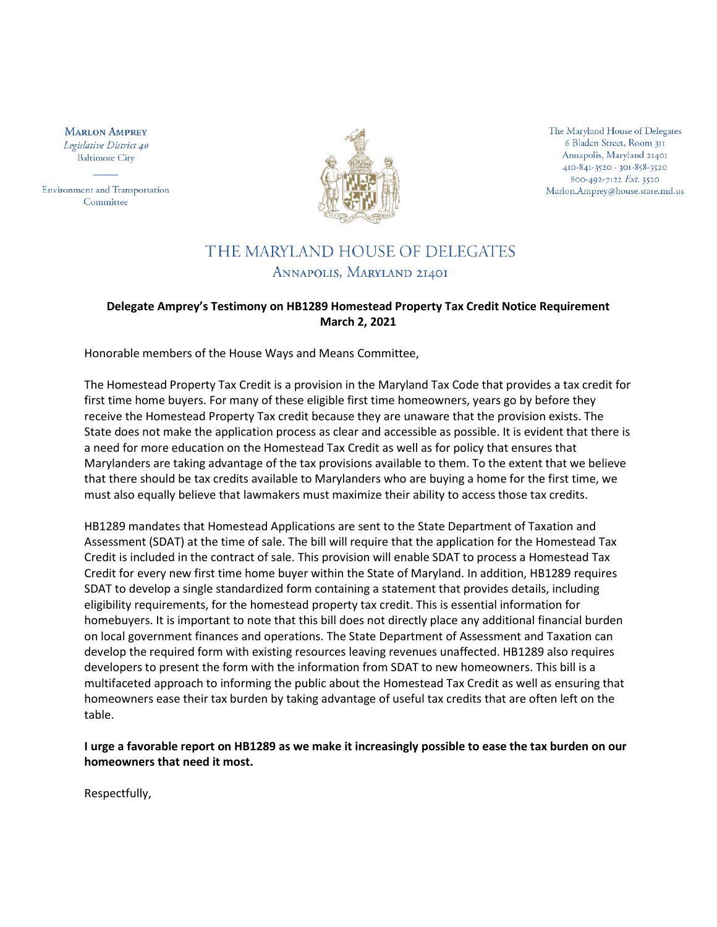**MARLON AMPREY** Legislative District 40 **Baltimore City** 

**Environment and Transportation** Committee



The Maryland House of Delegates 6 Bladen Street, Room 311 Annapolis, Maryland 21401 410-841-3520 · 301-858-3520 800-492-7122 Ext. 3520 Marlon.Amprey@house.state.md.us

## THE MARYLAND HOUSE OF DELEGATES ANNAPOLIS, MARYLAND 21401

## **Delegate Amprey's Testimony on HB1289 Homestead Property Tax Credit Notice Requirement March 2, 2021**

Honorable members of the House Ways and Means Committee,

The Homestead Property Tax Credit is a provision in the Maryland Tax Code that provides a tax credit for first time home buyers. For many of these eligible first time homeowners, years go by before they receive the Homestead Property Tax credit because they are unaware that the provision exists. The State does not make the application process as clear and accessible as possible. It is evident that there is a need for more education on the Homestead Tax Credit as well as for policy that ensures that Marylanders are taking advantage of the tax provisions available to them. To the extent that we believe that there should be tax credits available to Marylanders who are buying a home for the first time, we must also equally believe that lawmakers must maximize their ability to access those tax credits.

HB1289 mandates that Homestead Applications are sent to the State Department of Taxation and Assessment (SDAT) at the time of sale. The bill will require that the application for the Homestead Tax Credit is included in the contract of sale. This provision will enable SDAT to process a Homestead Tax Credit for every new first time home buyer within the State of Maryland. In addition, HB1289 requires SDAT to develop a single standardized form containing a statement that provides details, including eligibility requirements, for the homestead property tax credit. This is essential information for homebuyers. It is important to note that this bill does not directly place any additional financial burden on local government finances and operations. The State Department of Assessment and Taxation can develop the required form with existing resources leaving revenues unaffected. HB1289 also requires developers to present the form with the information from SDAT to new homeowners. This bill is a multifaceted approach to informing the public about the Homestead Tax Credit as well as ensuring that homeowners ease their tax burden by taking advantage of useful tax credits that are often left on the table.

**I urge a favorable report on HB1289 as we make it increasingly possible to ease the tax burden on our homeowners that need it most.**

Respectfully,